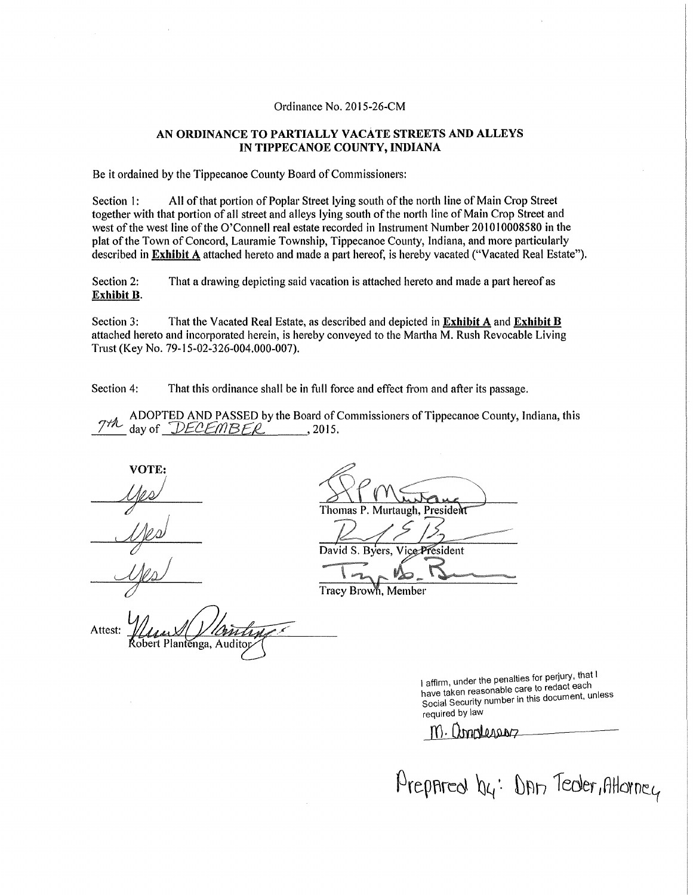## Ordinance No. 2015-26-CM

## AN ORDINANCE TO PARTIALLY VACATE STREETS AND ALLEYS IN TIPPECANOE COUNTY, INDIANA

Be it ordained by the Tippecanoe County Board of Commissioners:

Section 1: All of that portion of Poplar Street lying south of the north line of Main Crop Street together with that portion of all street and alleys lying south of the north tine of Main Crop Street and west of the west line of the O'Connell real estate recorded in Instrument Number 201010008580 in the plat of the Town of Concord, Lauramie Township, Tippecanoe County, Indiana, and more patticularly described in Exhibit A attached hereto and made a part hereof, is hereby vacated ("Vacated Real Estate").

Section 2: That a drawing depicting said vacation is attached hereto and made a part hereof as Exhibit B.

Section 3: That the Vacated Real Estate, as described and depicted in **Exhibit A** and **Exhibit B** attached hereto and incorporated herein, is hereby conveyed to the Martha M. Rush Revocable Living Trust (Key No. 79-15-02-326-004.000-007).

Section 4: That this ordinance shall be in full force and effect from and after its passage.

~ ADOPTED AND PASSED by the Board of Commissioners of Tippecanoe County, Indiana, this  $d$ ay of  $DECEMBER$ , 2015.

VOTE:  $40$ 

Thomas P. Murtaugh, President

David S. Byers, Vice President  $12-12$ Tracy Brown, Member

Attest: lantenga, Auditop

I affirm, under the penalties for perjury, that I<br>have taken reasonable care to redact each have taken reasonable care to redact each nare in Security number in this document, uni required by law

m. Complessor

Prepared by: Dan Teder, Atlancy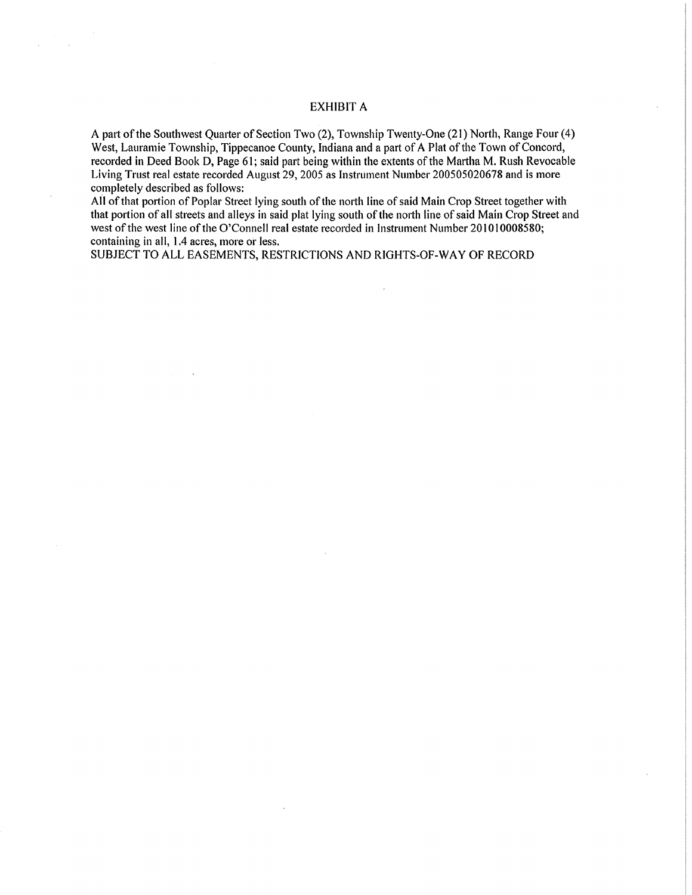## EXHIBIT A

A patt of the Southwest Quarter of Section Two (2), Township Twenty-One (21) North, Range Four (4) West, Lauramie Township, Tippecanoe County, Indiana and a part of A Plat of the Town of Concord, recorded in Deed Book D, Page 61; said part being within the extents of the Martha M. Rush Revocable Living Trust real estate recorded August 29, 2005 as Instrument Number 200505020678 and is more completely described as follows:

AH of that pottion of Poplar Street lying south of the north line of said Main Crop Street together with that portion of all streets and alleys in said plat lying south of the north line of said Main Crop Street and west of the west line of the O'Connell real estate recorded in Instrument Number 201010008580; containing in all, 1.4 acres, more or less.

SUBJECT TO ALL EASEMENTS, RESTRICTIONS AND RIGHTS-OF-WAY OF RECORD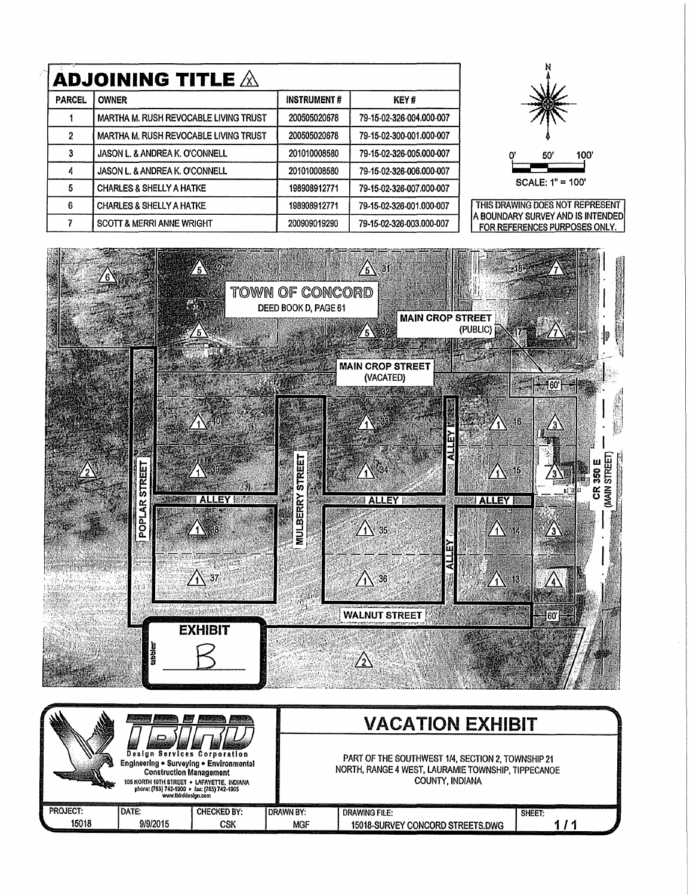| <b>ADJOINING TITLE <math>\mathbb A</math></b> |                                              |                    |                          |  |  |  |
|-----------------------------------------------|----------------------------------------------|--------------------|--------------------------|--|--|--|
| <b>PARCEL</b>                                 | <b>OWNER</b>                                 | <b>INSTRUMENT#</b> | KEY#                     |  |  |  |
|                                               | MARTHA M. RUSH REVOCABLE LIVING TRUST        | 200505020678       | 79-15-02-326-004.000-007 |  |  |  |
| $\overline{2}$                                | <b>MARTHA M. RUSH REVOCABLE LIVING TRUST</b> | 200505020678       | 79-15-02-300-001.000-007 |  |  |  |
| 3                                             | <b>JASON L. &amp; ANDREA K. O'CONNELL</b>    | 201010008580       | 79-15-02-326-005.000-007 |  |  |  |
| 4                                             | <b>JASON L. &amp; ANDREA K. O'CONNELL</b>    | 201010008580       | 79-15-02-326-006.000-007 |  |  |  |
| 5                                             | <b>CHARLES &amp; SHELLY A HATKE</b>          | 198908912771       | 79-15-02-326-007.000-007 |  |  |  |
| 6                                             | <b>CHARLES &amp; SHELLY A HATKE</b>          | 198908912771       | 79-15-02-326-001.000-007 |  |  |  |
| 7                                             | <b>SCOTT &amp; MERRI ANNE WRIGHT</b>         | 200909019290       | 79-15-02-326-003.000-007 |  |  |  |



THIS DRAWING DOES NOT REPRESENT A BOUNDARY SURVEY AND IS INTENDED FOR REFERENCES PURPOSES ONLY.



|          | the control of the control of the control of the control of the control of the control of the control of the control of the control of the control of the control of the control of the control of the control of the control       |                    |                                                                                                                            |                                  |        |
|----------|-------------------------------------------------------------------------------------------------------------------------------------------------------------------------------------------------------------------------------------|--------------------|----------------------------------------------------------------------------------------------------------------------------|----------------------------------|--------|
|          |                                                                                                                                                                                                                                     |                    | <b>VACATION EXHIBIT</b>                                                                                                    |                                  |        |
|          | <b>Design Services Corporation</b><br>Engineering . Surveying . Environmental<br><b>Construction Management</b><br>105 NORTH 10TH STREET . LAFAYETTE, INDIANA<br>phone: (765) 742-1900 · fax: (765) 742-1905<br>www.tbirddesign.com |                    | PART OF THE SOUTHWEST 1/4, SECTION 2, TOWNSHIP 21<br>NORTH, RANGE 4 WEST, LAURAMIE TOWNSHIP, TIPPECANOE<br>COUNTY, INDIANA |                                  |        |
| PROJECT: | I DATE:                                                                                                                                                                                                                             | <b>CHECKED BY:</b> | <b>IDRAWN BY:</b>                                                                                                          | <b>DRAWING FILE:</b>             | SHEET: |
| 15018    | 9/9/2015                                                                                                                                                                                                                            | CSK                | <b>MGF</b>                                                                                                                 | 15018-SURVEY CONCORD STREETS.DWG |        |